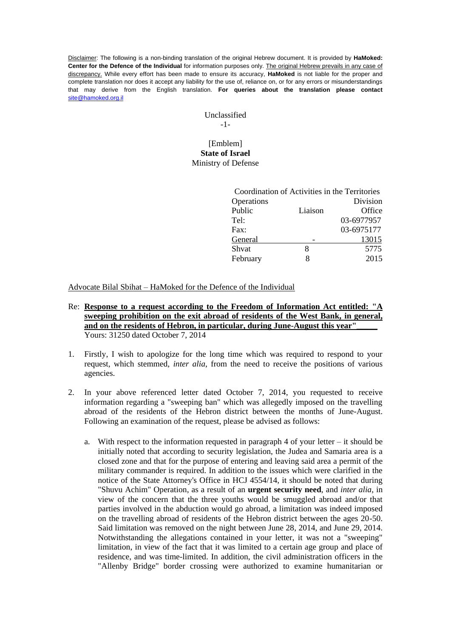Disclaimer: The following is a non-binding translation of the original Hebrew document. It is provided by **HaMoked: Center for the Defence of the Individual** for information purposes only. The original Hebrew prevails in any case of discrepancy. While every effort has been made to ensure its accuracy, **HaMoked** is not liable for the proper and complete translation nor does it accept any liability for the use of, reliance on, or for any errors or misunderstandings that may derive from the English translation. **For queries about the translation please contact**  [site@hamoked.org.il](mailto:site@hamoked.org.il)

> Unclassified -1-

## [Emblem] **State of Israel** Ministry of Defense

| Coordination of Activities in the Territories |         |            |
|-----------------------------------------------|---------|------------|
| Operations                                    |         | Division   |
| Public                                        | Liaison | Office     |
| Tel:                                          |         | 03-6977957 |
| Fax:                                          |         | 03-6975177 |
| General                                       |         | 13015      |
| Shvat                                         | 8       | 5775       |
| February                                      | 8       | 2015       |
|                                               |         |            |

Advocate Bilal Sbihat – HaMoked for the Defence of the Individual

- Re: **Response to a request according to the Freedom of Information Act entitled: "A sweeping prohibition on the exit abroad of residents of the West Bank, in general,** and on the residents of Hebron, in particular, during June-August this year" Yours: 31250 dated October 7, 2014
- 1. Firstly, I wish to apologize for the long time which was required to respond to your request, which stemmed, *inter alia*, from the need to receive the positions of various agencies.
- 2. In your above referenced letter dated October 7, 2014, you requested to receive information regarding a "sweeping ban" which was allegedly imposed on the travelling abroad of the residents of the Hebron district between the months of June-August. Following an examination of the request, please be advised as follows:
	- a. With respect to the information requested in paragraph 4 of your letter it should be initially noted that according to security legislation, the Judea and Samaria area is a closed zone and that for the purpose of entering and leaving said area a permit of the military commander is required. In addition to the issues which were clarified in the notice of the State Attorney's Office in HCJ 4554/14, it should be noted that during "Shuvu Achim" Operation, as a result of an **urgent security need**, and *inter alia*, in view of the concern that the three youths would be smuggled abroad and/or that parties involved in the abduction would go abroad, a limitation was indeed imposed on the travelling abroad of residents of the Hebron district between the ages 20-50. Said limitation was removed on the night between June 28, 2014, and June 29, 2014. Notwithstanding the allegations contained in your letter, it was not a "sweeping" limitation, in view of the fact that it was limited to a certain age group and place of residence, and was time-limited. In addition, the civil administration officers in the "Allenby Bridge" border crossing were authorized to examine humanitarian or